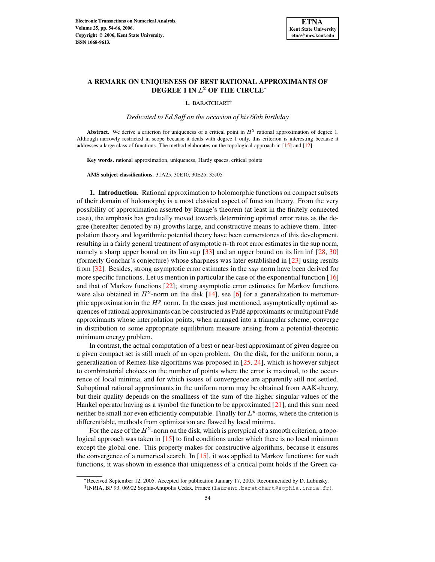

# **A REMARK ON UNIQUENESS OF BEST RATIONAL APPROXIMANTS OF**  $\bf{DEGREE}$  **1**  $\bf{IN}$   $L^2$   $\bf{OF}$   $\bf{THE}$   $\bf{CIRCLE}^*$

L. BARATCHART

*Dedicated to Ed Saff on the occasion of his 60th birthday*

**Abstract.** We derive a criterion for uniqueness of a critical point in  $H^2$  rational approximation of degree 1. Although narrowly restricted in scope because it deals with degree 1 only, this criterion is interesting because it addresses a large class of functions. The method elaborates on the topological approach in [\[15\]](#page-12-0) and [\[12\]](#page-12-1).

**Key words.** rational approximation, uniqueness, Hardy spaces, critical points

**AMS subject classifications.** 31A25, 30E10, 30E25, 35J05

**1. Introduction.** Rational approximation to holomorphic functions on compact subsets of their domain of holomorphy is a most classical aspect of function theory. From the very possibility of approximation asserted by Runge's theorem (at least in the finitely connected case), the emphasis has gradually moved towards determining optimal error rates as the degree (hereafter denoted by  $n$ ) growths large, and constructive means to achieve them. Interpolation theory and logarithmic potential theory have been cornerstones of this development, resulting in a fairly general treatment of asymptotic  $n$ -th root error estimates in the sup norm, namely a sharp upper bound on its  $\limsup$  [\[33\]](#page-12-2) and an upper bound on its  $\liminf$  [\[28,](#page-12-3) [30\]](#page-12-4) (formerly Gonchar's conjecture) whose sharpness was later established in [\[23\]](#page-12-5) using results from [\[32\]](#page-12-6). Besides, strong asymptotic error estimates in the *sup* norm have been derived for more specific functions. Let us mention in particular the case of the exponential function [\[16\]](#page-12-7) and that of Markov functions [\[22\]](#page-12-8); strong asymptotic error estimates for Markov functions were also obtained in  $H^2$ -norm on the disk [\[14\]](#page-12-9), see [\[6\]](#page-11-0) for a generalization to meromorphic approximation in the  $H<sup>p</sup>$  norm. In the cases just mentioned, asymptotically optimal sequences of rational approximants can be constructed as Padé approximants or multipoint Padé approximants whose interpolation points, when arranged into a triangular scheme, converge in distribution to some appropriate equilibrium measure arising from a potential-theoretic minimum energy problem.

In contrast, the actual computation of a best or near-best approximant of given degree on a given compact set is still much of an open problem. On the disk, for the uniform norm, a generalization of Remez-like algorithms was proposed in [\[25,](#page-12-10) [24\]](#page-12-11), which is however subject to combinatorial choices on the number of points where the error is maximal, to the occurrence of local minima, and for which issues of convergence are apparently still not settled. Suboptimal rational approximants in the uniform norm may be obtained from AAK-theory, but their quality depends on the smallness of the sum of the higher singular values of the Hankel operator having as a symbol the function to be approximated  $[21]$ , and this sum need neither be small nor even efficiently computable. Finally for  $L^p$ -norms, where the criterion is differentiable, methods from optimization are flawed by local minima.

For the case of the  $H^2$ -norm on the disk, which is protypical of a smooth criterion, a topological approach was taken in [\[15\]](#page-12-0) to find conditions under which there is no local minimum except the global one. This property makes for constructive algorithms, because it ensures the convergence of a numerical search. In  $[15]$ , it was applied to Markov functions: for such functions, it was shown in essence that uniqueness of a critical point holds if the Green ca-

<sup>\*</sup> Received September 12, 2005. Accepted for publication January 17, 2005. Recommended by D. Lubinsky.

INRIA, BP 93, 06902 Sophia-Antipolis Cedex, France (laurent.baratchart@sophia.inria.fr).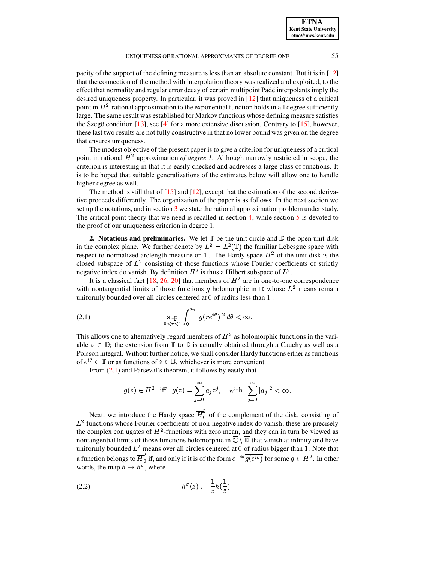#### UNIQUENESS OF RATIONAL APPROXIMANTS OF DEGREE ONE 55

pacity of the support of the defining measure is less than an absolute constant. But it is in [\[12\]](#page-12-1) that the connection of the method with interpolation theory was realized and exploited, to the effect that normality and regular error decay of certain multipoint Pade´ interpolants imply the desired uniqueness property. In particular, it was proved in [\[12\]](#page-12-1) that uniqueness of a critical point in  $H^2$ -rational approximation to the exponential function holds in all degree sufficiently large. The same result was established for Markov functions whose defining measure satisfies the Szegö condition [\[13\]](#page-12-13), see [\[4\]](#page-11-1) for a more extensive discussion. Contrary to [\[15\]](#page-12-0), however, these last two results are not fully constructive in that no lower bound was given on the degree that ensures uniqueness.

The modest objective of the present paper is to give a criterion for uniqueness of a critical point in rational  $H^2$  approximation *of degree* 1. Although narrowly restricted in scope, the criterion is interesting in that it is easily checked and addresses a large class of functions. It is to be hoped that suitable generalizations of the estimates below will allow one to handle higher degree as well.

The method is still that of  $[15]$  and  $[12]$ , except that the estimation of the second derivative proceeds differently. The organization of the paper is as follows. In the next section we set up the notations, and in section [3](#page-2-0) we state the rational approximation problem under study. The critical point theory that we need is recalled in section  $4$ , while section  $5$  is devoted to the proof of our uniqueness criterion in degree 1.

**2. Notations and preliminaries.** We let  $T$  be the unit circle and  $D$  the open unit disk in the complex plane. We further denote by  $L^2 = L^2(\mathbb{T})$  the familiar Lebesgue space with respect to normalized arclength measure on  $\mathbb{T}$ . The Hardy space  $H^2$  of the unit disk is the closed subspace of  $L^2$  consisting of those functions whose Fourier coefficients of strictly negative index do vanish. By definition  $H^2$  is thus a Hilbert subspace of  $L^2$ .

It is a classical fact [\[18,](#page-12-14) [26,](#page-12-15) [20\]](#page-12-16) that members of  $H^2$  are in one-to-one correspondence with nontangential limits of those functions g holomorphic in  $\mathbb D$  whose  $L^2$  means remain uniformly bounded over all circles centered at  $0$  of radius less than  $1$ :

<span id="page-1-0"></span>
$$
\sup_{0 < r < 1} \int_0^{2\pi} |g(re^{i\theta})|^2 \, d\theta < \infty.
$$

This allows one to alternatively regard members of  $H^2$  as holomorphic functions in the variable  $z \in \mathbb{D}$ ; the extension from  $\mathbb{T}$  to  $\mathbb{D}$  is actually obtained through a Cauchy as well as a Poisson integral. Without further notice, we shall consider Hardy functions either as functions of  $e^{i\theta} \in \mathbb{T}$  or as functions of  $z \in \mathbb{D}$ , whichever is more convenient.

From [\(2.1\)](#page-1-0) and Parseval's theorem, it follows by easily that

$$
g(z) \in H^2
$$
 iff  $g(z) = \sum_{j=0}^{\infty} a_j z^j$ , with  $\sum_{j=0}^{\infty} |a_j|^2 < \infty$ .

Next, we introduce the Hardy space  $\overline{H}_0^2$  of the complement of the disk, consisting of  $L<sup>2</sup>$  functions whose Fourier coefficients of non-negative index do vanish; these are precisely the complex conjugates of  $H^2$ -functions with zero mean, and they can in turn be viewed as nontangential limits of those functions holomorphic in  $\overline{\mathbb{C}}\setminus\overline{\mathbb{D}}$  that vanish at infinity and have uniformly bounded  $L^2$  means over all circles centered at 0 of radius bigger than 1. Note that a function belongs to  $\overline{H}_0^2$  if, and only if it is of the form  $e^{-i\theta} \overline{g(e^{i\theta})}$  for some  $g \in H^2$ . In other words, the map  $h \to h^{\sigma}$ , where

<span id="page-1-1"></span>
$$
(2.2) \t\t\t h^{\sigma}(z) := \frac{1}{z} \overline{h(\frac{1}{\overline{z}})},
$$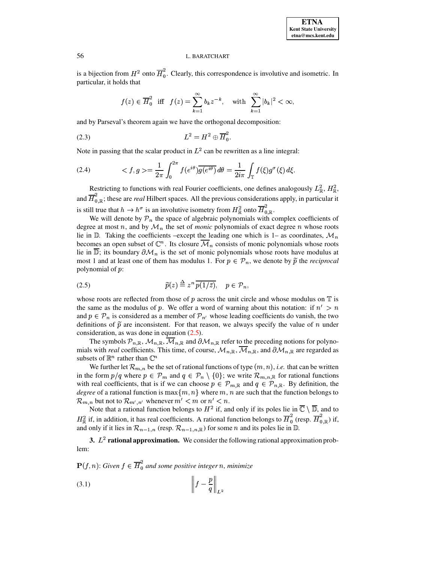is a bijection from  $H^2$  onto  $\overline{H}_0^2$ . Clearly, this correspondence is involutive and isometric. In particular, it holds that

<span id="page-2-2"></span>
$$
f(z) \in \overline{H}_0^2
$$
 iff  $f(z) = \sum_{k=1}^{\infty} b_k z^{-k}$ , with  $\sum_{k=1}^{\infty} |b_k|^2 < \infty$ ,

and by Parseval's theorem again we have the orthogonal decomposition:

$$
(2.3) \t\t\t\t L^2 = H^2 \oplus \overline{H}_0^2.
$$

Note in passing that the scalar product in  $L^2$  can be rewritten as a line integral:

<span id="page-2-4"></span>(2.4) 
$$
\langle f, g \rangle = \frac{1}{2\pi} \int_0^{2\pi} f(e^{i\theta}) \overline{g(e^{i\theta})} \, d\theta = \frac{1}{2i\pi} \int_{\mathbb{T}} f(\xi) g^{\sigma}(\xi) \, d\xi.
$$

Restricting to functions with real Fourier coefficients, one defines analogously  $L^2_{\mathbb{R}}$ ,  $H^2_{\mathbb{R}}$ , and  $\overline{H}_{0,\mathbb{R}}^2$ ; these are *real* Hilbert spaces. All the previous considerations apply, in particular it is still true that  $h \to h^{\sigma}$  is an involutive isometry from  $H_{\mathbb{R}}^2$  onto  $\overline{H}_{0,\mathbb{R}}^2$ .

We will denote by  $\mathcal{P}_n$  the space of algebraic polynomials with complex coefficients of degree at most n, and by  $\mathcal{M}_n$  the set of *monic* polynomials of exact degree n whose roots lie in  $\mathbb D$ . Taking the coefficients –except the leading one which is 1– as coordinates,  $\mathcal M_n$ becomes an open subset of  $\mathbb{C}^n$ . Its closure  $\mathcal{M}_n$  consists of monic polynomials whose roots lie in  $\overline{\mathbb{D}}$ ; its boundary  $\partial \mathcal{M}_n$  is the set of monic polynomials whose roots have modulus at most 1 and at least one of them has modulus 1. For  $p \in P_n$ , we denote by  $\tilde{p}$  the *reciprocal* polynomial of  $p$ :

<span id="page-2-1"></span>
$$
\widetilde{p}(z) \stackrel{\Delta}{=} z^n \overline{p(1/\bar{z})}, \quad p \in \mathcal{P}_n,
$$

whose roots are reflected from those of  $p$  across the unit circle and whose modulus on  $\mathbb T$  is the same as the modulus of p. We offer a word of warning about this notation: if  $n' > n$ and  $p \in P_n$  is considered as a member of  $P_{n'}$  whose leading coefficients do vanish, the two definitions of  $\tilde{p}$  are inconsistent. For that reason, we always specify the value of  $n$  under consideration, as was done in equation [\(2.5\)](#page-2-1).

The symbols  $\mathcal{P}_{n,\mathbb{R}}, \mathcal{M}_{n,\mathbb{R}}$ ,  $\mathcal{M}_{n,\mathbb{R}}$  and  $\partial \mathcal{M}_{n,\mathbb{R}}$  refer to the preceding notions for polynomials with *real* coefficients. This time, of course,  $\mathcal{M}_{n,\mathbb{R}}$ ,  $\mathcal{M}_{n,\mathbb{R}}$ , and  $\partial \mathcal{M}_{n,\mathbb{R}}$  are regarded as subsets of  $\mathbb{R}^n$  rather than  $\mathbb{C}^n$ 

We further let  $\mathcal{R}_{m,n}$  be the set of rational functions of type  $(m,n)$ , *i.e.* that can be written in the form  $p/q$  where  $p \in {\cal P}_m$  and  $q \in {\cal P}_n \setminus \{0\}$ ; we write  ${\cal R}_{m,n,\mathbb{R}}$  for rational functions with real coefficients, that is if we can choose  $p \in \mathcal{P}_{m,\mathbb{R}}$  and  $q \in \mathcal{P}_{n,\mathbb{R}}$ . By definition, the *degree* of a rational function is  $\max\{m, n\}$  where m, n are such that the function belongs to  ${\cal R}_{m,n}$  but not to  ${\cal R}_{m',n'}$  whenever  $m' < m$  or  $n' < n$ .

Note that a rational function belongs to  $H^2$  if, and only if its poles lie in  $\mathbb{C} \setminus \mathbb{D}$ , and to  $H^2_{\mathbb{R}}$  if, in addition, it has real coefficients. A rational function belongs to  $\overline{H}^2_0$  (resp.  $\overline{H}^2_{0,\mathbb{R}}$ ) if, and only if it lies in  $\mathcal{R}_{n-1,n}$  (resp.  $\mathcal{R}_{n-1,n,\mathbb{R}}$ ) for some n and its poles lie in  $\mathbb{D}$ .

<span id="page-2-0"></span>**3.**  $L^2$  **rational approximation.** We consider the following rational approximation problem:

 $(f, n)$ : Given  $f \in \overline{H}_0^2$  and some positive  $\frac{a}{a}$  and some positive integer *n*, minimize

<span id="page-2-3"></span>¢ ¢ ¢ ¢ ha£ ¢ ¢ ¢ ¢+¤¥ (3.1)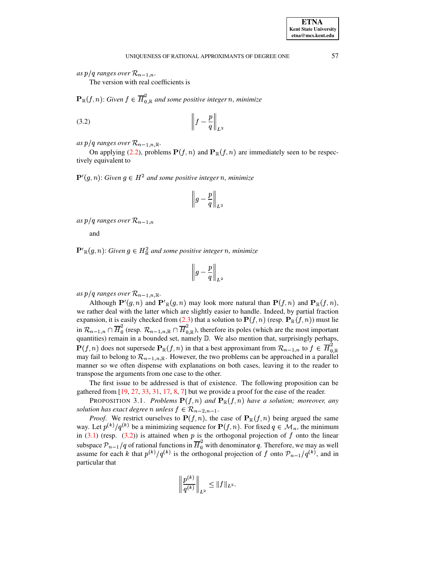**ETNA Kent State University etna@mcs.kent.edu**

*as*  $p/q$  ranges over  $\mathcal{R}_{n-1,n}$ .

The version with real coefficients is

 $\mathbb{R}(f, n)$ : Given  $f \in \overline{H}_{0, \mathbb{R}}^2$  and some position  $\int_{0}^{2}$  *and some positive integer n, minimize* 

<span id="page-3-0"></span>¢ ¢ ¢ ¢ h§£ ¢ ¢ ¢ ¢ ¤¥ (3.2)

 $as\ p/q\ ranges\ over\ R_{n-1,n,\mathbb{R}}.$ 

*lq ranges over*  $\mathcal{R}_{n-1,n,\mathbb{R}}$ .<br>On applying [\(2.2\)](#page-1-1), problems  $\mathbf{P}(f,n)$  and  $\mathbf{P}_{\mathbb{R}}(f,n)$  are immediately seen to be respectively equivalent to

 $U(g, n)$ : Given  $g \in H^2$  and some positive integer *n*, minimize

$$
\left\|\,g-\frac{p}{q}\,\right\|_{L^2}
$$

*as*  $p/q$  ranges over  $\mathcal{R}_{n-1,n}$ 

 $\frac{1}{2}$ and

 $\mathcal{H}_{\mathbb{R}}(g,n)$ : Given  $g \in H^2_{\mathbb{R}}$  and some positive integer *n*, minimize

$$
\left\|\,g-\frac{p}{q}\right\|_{L^2}
$$

 $as\ p/q\ ranges\ over\ R_{n-1,n,\mathbb{R}}.$ 

*lq ranges over*  $\mathcal{R}_{n-1,n,\mathbb{R}}$ .<br>Although  $\mathbf{P}'(g,n)$  and  $\mathbf{P}'$  $\mathcal{L}_{n-1,n,\mathbb{R}}$ .<br>  $n)$  and  $\mathbf{P'}_{\mathbb{R}}(g,n)$  may lo *n*) may look more natural than  $\mathbf{P}(f,n)$  and  $\mathbf{P}_{\mathbb{R}}(f,n)$ , we rather deal with the latter which are slightly easier to handle. Indeed, by partial fraction we rather deal with the latter which are slightly easier to handle. Indeed, by partial fraction expansion, it is easily checked from [\(2.3\)](#page-2-2) that a solution to  $P(f, n)$  (resp.  $P_{\mathbb{R}}(f, n)$ ) must lie in  $\mathcal{R}_{n-1,n} \cap \overline{H}_0^2$  (resp.  $\mathcal{R}_{n-1,n,\mathbb{R}} \cap \overline{H}_{0,\mathbb{R}}^2$ ), therefore its poles (which are the most important quantities) remain in a bounded set, namely  $\mathbb D$ . We also mention that, surprisingly perhaps,  $\mathbf P(f, n)$  does not supersede  $\mathbf P_{\mathbb R}(f, n)$  in that a best approximant from  $\mathcal R_{n-1,n}$  to  $f \in \overline{H}_{0,\mathbb R}^2$ .  $h(f, n)$  does not supersede  $\mathbf{P}_{\mathbb{R}}(f, n)$  in that a best approximant from  $\mathcal{R}_{n-1,n}$  to  $f \in \overline{H}_{0,\mathbb{R}}^2$  $\frac{2}{\sqrt{3}}$ may fail to belong to  $\mathcal{R}_{n-1,n,\mathbb{R}}$ . However, the two problems can be approached in a parallel manner so we often dispense with explanations on both cases, leaving it to the reader to transpose the arguments from one case to the other.

The first issue to be addressed is that of existence. The following proposition can be gathered from [\[19,](#page-12-17) [27,](#page-12-18) [33,](#page-12-2) [31,](#page-12-19) [17,](#page-12-20) [8,](#page-11-2) [7\]](#page-11-3) but we provide a proof for the ease of the reader.<br>PROPOSITION 3.1. *Problems*  $P(f, n)$  and  $P_R(f, n)$  have a solution; moreover,

<span id="page-3-1"></span> $h(f, n)$  and  $\mathbf{P}_{\mathbb{R}}(f, n)$  have a solution; moreover, any *solution has exact degree n unless*  $f \in \mathcal{R}_{n-2,n-1}$ .

*Proof.* We restrict ourselves to  $\mathbf{P}(f, n)$ , the case of  $\mathbf{P}_{\mathbb{R}}(f, n)$  being argued the same Let  $p^{(k)}/q^{(k)}$  be a minimizing sequence for  $\mathbf{P}(f, n)$ . For fixed  $q \in \mathcal{M}_n$ , the minimum way. Let  $p^{(k)}/q^{(k)}$  be a minimizing sequence for  $P(f, n)$ . For fixed  $q \in M_n$ , the minimum in  $(3.1)$  (resp.  $(3.2)$ ) is attained when p is the orthogonal projection of f onto the linear subspace  $\mathcal{P}_{n-1}/q$  of rational functions in  $\overline{H}_0^2$  with denominator q. Therefore, we may as well assume for each k that  $p^{(k)}/q^{(k)}$  is the orthogonal projection of f onto  $\mathcal{P}_{n-1}/q^{(k)}$ , and in particular that

$$
\left\| \frac{p^{(k)}}{q^{(k)}} \right\|_{L^2} \le \| f \|_{L^2}.
$$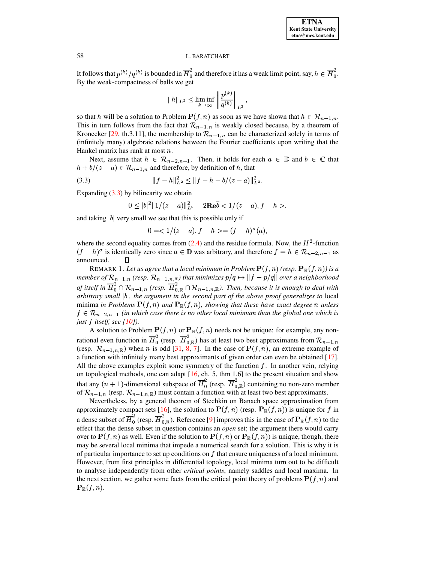It follows that  $p^{(k)}/q^{(k)}$  is bounded in  $\overline{H}_0^2$  and therefore it has a weak limit point, say,  $h \in \overline{H}_0^2$ . By the weak-compactness of balls we get

$$
||h||_{L^2} \leq \liminf_{k \to \infty} \left\| \frac{p^{(k)}}{q^{(k)}} \right\|_{L^2},
$$

so that h will be a solution to Problem  $\mathbf{P}(f, n)$  as soon as we have shown that  $h \in \mathcal{R}_{n-1,n}$ . This in turn follows from the fact that  ${\cal R}_{n-1,n}$  is weakly closed because, by a theorem of Kronecker [\[29,](#page-12-21) th.3.11], the membership to  ${\cal R}_{n-1,n}$  can be characterized solely in terms of (infinitely many) algebraic relations between the Fourier coefficients upon writing that the Hankel matrix has rank at most  $n$ .

Next, assume that  $h \in \mathcal{R}_{n-2,n-1}$ . Then, it holds for each  $a \in \mathbb{D}$  and  $b \in \mathbb{C}$  that  $h/(a-a) \in \mathcal{D}$  and therefore by definition of h that  $h + b/(z - a) \in \mathcal{R}_{n-1,n}$  and therefore, by definition of h, that

<span id="page-4-0"></span>° h§£ <sup>b</sup> ° ¤ ¥ ¯¶° h?£ <sup>b</sup> £ k C £ ! ° (3.3)

Expanding  $(3.3)$  by bilinearity we obtain

$$
0 \le |b|^2 \|1/(z-a)\|_{L^2}^2 - 2\mathbf{Re}\overline{b} < 1/(z-a), f-h>,
$$

and taking  $|b|$  very small we see that this is possible only if

$$
0 = \langle 1/(z-a), f-h \rangle = (f-h)^{\sigma}(a),
$$

where the second equality comes from  $(2.4)$  and the residue formula. Now, the  $H^2$ -function  $(f - h)^\sigma$  is identically zero since  $a \in \mathbb{D}$  was arbitrary, and therefore  $f = h \in \mathcal{R}_{n-2,n-1}$  as announced. <sup>R</sup>EMARK 1. *Let us agree that <sup>a</sup> local minimum in Problem* ¡ <sup>h</sup><sup>U</sup> T! *(resp.* ¡ x <sup>h</sup><sup>U</sup> T! *) is a*

 $p \in \mathbb{R}$  *member of*  $\mathcal{R}_{n-1,n}$  *(resp.*  $\mathcal{R}_{n-1,n,\mathbb{R}}$ *) that minimizes*  $p/q \mapsto \|f-p/q\|$  *over a neighborhood* of itself in  $\overline{H}_0^2 \cap \mathcal{R}_{n-1,n}$  (resp.  $\overline{H}_{0,R}^2 \cap \mathcal{R}_{n-1,n,R}$ ). Then, because it is enough to deal with arbitrary small  $|b|$ , the argument in the second part of the above proof generalizes to local<br>minima in Problems  $\mathbf{P}(f,n)$  and  $\mathbf{P}_{\mathbb{R}}(f,n)$ , showing that these have exact degree n unless lems  $\mathbf{P}(f, n)$  and  $\mathbf{P}_{\mathbb{R}}(f, n)$ , showing that these have exact degree n unless  $f \in \mathcal{R}_{n-2,n-1}$  (in which case there is no other local minimum than the global one which is *just*  $f$  *itself, see* [\[10\]](#page-12-22)). f itself, see [10]).<br>A solution to Problem  $\mathbf{P}(f, n)$  or  $\mathbf{P}_{\mathbb{R}}(f, n)$  needs not be unique: for example, any non-

rational even function in  $\overline{H}_0^2$  (resp.  $\overline{H}_{0,\mathbb{R}}^2$ ) has at least two best approximants from  $\mathcal{R}_{n-1,n}$ rational even function in  $\overline{H}_0^2$  (resp.  $\overline{H}_{0,\mathbb{R}}^2$ ) has at least two best approximants from  $\mathcal{R}_{n-1,n}$ <br>(resp.  $\mathcal{R}_{n-1,n,\mathbb{R}}$ ) when *n* is odd [\[31,](#page-12-19) [8,](#page-11-2) [7\]](#page-11-3). In the case of  $\mathbf{P}(f,n)$ , an extreme example o a function with infinitely many best approximants of given order can even be obtained [\[17\]](#page-12-20). All the above examples exploit some symmetry of the function  $f$ . In another vein, relying on topological methods, one can adapt  $[16, ch. 5, thm 1.6]$  $[16, ch. 5, thm 1.6]$  to the present situation and show that any  $(n + 1)$ -dimensional subspace of  $\overline{H}_0^2$  (resp.  $\overline{H}_{0,\mathbb{R}}^2$ ) containing no non-zero member of  $\mathcal{R}_{n-1,n}$  (resp.  $\mathcal{R}_{n-1,n,\mathbb{R}}$ ) must contain a function with at least two best approximants.

Nevertheless, by a general theorem of Stechkin on Banach space approximation from oximately compact sets [16], the solution to  $P(f, n)$  (resp.  $P_{\mathbb{R}}(f, n)$ ) is unique for f in Nevertheless, by a general theorem of Stechkin on Banach space approximation from<br>approximately compact sets [\[16\]](#page-12-7), the solution to  $P(f, n)$  (resp.  $P_{\mathbb{R}}(f, n)$ ) is unique for f in a dense subset of  $\overline{H}_0^2$  (resp.  $\overline{H}_{0,\mathbb{R}}^2$ ). Reference [9] 16], the solution to  $\mathbf{P}(f,n)$  (resp.  $\mathbf{P}_{\mathbb{R}}(f,n)$ ) is unique for f in  $\frac{2}{\alpha_{0,\mathbb{R}}}\right)$ . Reference [\[9\]](#page-12-23) improves this in the case of  $\mathbf{P}_{\mathbb{R}}(f,n)$  to the effect that the dense subset in question contains an *open* set; the argument there would carry over to **P**(*f*, *n*) as well. Even if the solution to **P**(*f*, *n*) or **P**<sub>R</sub>(*f*, *n*)) is unique, though, there  $(f, n)$  as well. Even if the solution to  $\mathbf{P}(f, n)$  or  $\mathbf{P}_{\mathbb{R}}(f, n)$  is unique, though, there may be several local minima that impede a numerical search for a solution. This is why it is of particular importance to set up conditions on  $f$  that ensure uniqueness of a local minimum. However, from first principles in differential topology, local minima turn out to be difficult to analyse independently from other *critical points*, namely saddles and local maxima. In the next section, we gather some facts from the critical point theory of problems  $P(f, n)$  and the next section, we gather some facts from the critical point theory of problems  $P(f, n)$  and  $\mathbb{R}(f,n).$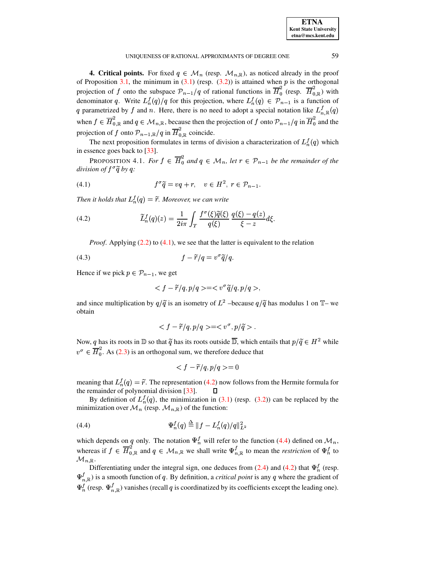| <b>ETNA</b>                  |
|------------------------------|
| <b>Kent State University</b> |
| etna@mcs.kent.edu            |

<span id="page-5-0"></span>**4. Critical points.** For fixed  $q \in M_n$  (resp.  $\mathcal{M}_{n,\mathbb{R}}$ ), as noticed already in the proof of Proposition [3.1,](#page-3-1) the minimum in  $(3.1)$  (resp.  $(3.2)$ ) is attained when p is the orthogonal projection of f onto the subspace  $\mathcal{P}_{n-1}/q$  of rational functions in  $\overline{H}_0^2$  (resp.  $\overline{H}_{0,\mathbb{R}}^2$ ) with denominator q. Write  $L_n^f(q)/q$  for this projection, where  $L_n^f(q) \in \mathcal{P}_{n-1}$  is a function of q parametrized by f and n. Here, there is no need to adopt a special notation like  $L_{n,\mathbb{R}}^{1}(q)$ when  $f \in H_{0,\mathbb{R}}^{\sim}$  and  $q \in \mathcal{M}_{n,\mathbb{R}}$ ,  $\int_{0,R}^{2}$  and  $q \in \mathcal{M}_{n,\mathbb{R}}$ , because then the projection of f onto  $\mathcal{P}_{n-1}/q$  in  $\overline{H}_0^2$  and the projection of f onto  $\mathcal{P}_{n-1,\mathbb{R}}/q$  in  $\overline{H}_{0,\mathbb{R}}^2$  coincide.

<span id="page-5-4"></span>The next proposition formulates in terms of division a characterization of  $L_n^f(q)$  which in essence goes back to [\[33\]](#page-12-2).

PROPOSITION 4.1. *For*  $f \in \overline{H}_0^2$  and  $q \in \mathcal{M}_n$ , le  $\int_{0}^{2}$  and  $q \in M_{n}$ , let  $r \in \mathcal{P}_{n-1}$  be the remainder of the *division of*  $f^\sigma \widetilde{q}$  *by q:* 

<span id="page-5-1"></span>
$$
(4.1) \t f^{\sigma} \widetilde{q} = vq + r, \quad v \in H^2, \ r \in \mathcal{P}_{n-1}.
$$

*Then it holds that*  $L_n^f(q) = \tilde{r}$ . Moreover, we can write

<span id="page-5-2"></span>(4.2) 
$$
\widetilde{L}_n^f(q)(z) = \frac{1}{2i\pi} \int_T \frac{f^\sigma(\xi)\widetilde{q}(\xi)}{q(\xi)} \frac{q(\xi) - q(z)}{\xi - z} d\xi.
$$

*Proof.* Applying [\(2.2\)](#page-1-1) to [\(4.1\)](#page-5-1), we see that the latter is equivalent to the relation

$$
(4.3) \t\t\t f - \widetilde{r}/q = v^{\sigma} \widetilde{q}/q.
$$

Hence if we pick  $p \in \mathcal{P}_{n-1}$ , we get

<span id="page-5-5"></span>
$$
\langle f - \widetilde{r}/q, p/q \rangle = \langle v^{\sigma} \widetilde{q}/q, p/q \rangle,
$$

and since multiplication by  $q/\tilde{q}$  is an isometry of  $L^2$  –because  $q/\tilde{q}$  has modulus 1 on T– we obtain

$$
\langle f - \widetilde{r}/q, p/q \rangle = \langle v^{\sigma}, p/\widetilde{q} \rangle.
$$

Now, q has its roots in  $\mathbb D$  so that  $\tilde q$  has its roots outside  $\mathbb D$ , which entails that  $p/\tilde q \in H^2$  while  $v^{\sigma} \in H_0^{\sigma}$ . As (2.3) is an or  $\int_{0}^{2}$ . As [\(2.3\)](#page-2-2) is an orthogonal sum, we therefore deduce that

$$
\langle f - \tilde{r}/q, p/q \rangle = 0
$$

meaning that  $L_n^f(q) = \tilde{r}$ . The representation [\(4.2\)](#page-5-2) now follows from the Hermite formula for the remainder of polynomial division [\[33\]](#page-12-2).  $\Box$ 

By definition of  $L_n^f(q)$ , the minimization in [\(3.1\)](#page-2-3) (resp. [\(3.2\)](#page-3-0)) can be replaced by the minimization over  $\mathcal{M}_n$  (resp.  $\mathcal{M}_{n,\mathbb{R}}$ ) of the function:

<span id="page-5-3"></span>(4.4) 
$$
\Psi_n^f(q) \stackrel{\Delta}{=} ||f - L_n^f(q)/q||_{L^2}^2
$$

which depends on q only. The notation  $\Psi_n^f$  will refer to the function [\(4.4\)](#page-5-3) defined on  $\mathcal{M}_n$ , whereas if  $f \in H_{0,\mathbb{R}}$  and  $q \in \mathcal{M}_{n,\mathbb{R}}$  $\int_{0,R}^{2}$  and  $q \in \mathcal{M}_{n,\mathbb{R}}$  we shall write  $\Psi_{n,\mathbb{R}}^{f}$  to mean the *restriction* of  $\Psi_{n}^{f}$  to  ${\mathcal M}_{n,{\mathbb R}}.$ 

Differentiating under the integral sign, one deduces from [\(2.4\)](#page-2-4) and [\(4.2\)](#page-5-2) that  $\Psi_n^f$  (resp.  $\Psi_{n}^{f}$  is a smooth function of q. By definition, a *critical point* is any q where the gradient of  $\Psi_{n}^{f}$  (resp.  $\Psi_{n,\mathbb{R}}^{f}$ ) vanishes (recall q is coordinatized by its coefficients except the leading one).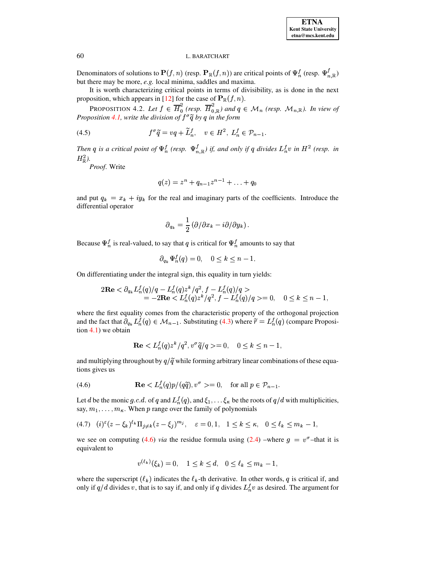Denominators of solutions to  $\mathbf{P}(f,n)$  (resp.  $\mathbf{P}_{\mathbb{R}}(f,n)$ ) are critical points of  $\Psi_n^f$  (resp.  $\Psi_{n,\mathbb{R}}^f$ ) but there may be more, e.g. local minima, saddles and maxima.

It is worth characterizing critical points in terms of divisibility, as is done in the next proposition, which appears in [12] for the case of  $\mathbf{P}_{\mathbb{R}}(f, n)$ .

PROPOSITION 4.2. Let  $f \in \overline{H}_0^2$  (resp.  $\overline{H}_{0,\mathbb{R}}^2$ ) and  $q \in \mathcal{M}_n$  (resp.  $\mathcal{M}_{n,\mathbb{R}}$ ). In view of Proposition 4.1, write the division of  $f^\sigma \widetilde{q}$  by q in the form

(4.5) 
$$
f^{\sigma}\widetilde{q} = vq + \widetilde{L}_n^f, \quad v \in H^2, L_n^f \in \mathcal{P}_{n-1}.
$$

Then q is a critical point of  $\Psi_n^f$  (resp.  $\Psi_{n,\mathbb{R}}^f$ ) if, and only if q divides  $L_n^f v$  in  $H^2$  (resp. in  $H_{\mathbb{R}}^2$ ).

Proof. Write

<span id="page-6-2"></span>
$$
q(z) = z^n + q_{n-1}z^{n-1} + \ldots + q_0
$$

and put  $q_k = x_k + iy_k$  for the real and imaginary parts of the coefficients. Introduce the differential operator

$$
\partial_{q_k} = \frac{1}{2} \left( \partial / \partial x_k - i \partial / \partial y_k \right).
$$

Because  $\Psi_n^f$  is real-valued, to say that q is critical for  $\Psi_n^f$  amounts to say that

$$
\partial_{q_k} \Psi_n^f(q) = 0, \quad 0 \le k \le n - 1.
$$

On differentiating under the integral sign, this equality in turn yields:

$$
2\mathbf{Re} < \partial_{q_k} L_n^f(q)/q - L_n^f(q) z^k / q^2, f - L_n^f(q)/q > \\ = -2\mathbf{Re} < L_n^f(q) z^k / q^2, f - L_n^f(q)/q > = 0, \quad 0 \le k \le n - 1,
$$

where the first equality comes from the characteristic property of the orthogonal projection and the fact that  $\partial_{q_k} L_n^f(q) \in \mathcal{M}_{n-1}$ . Substituting (4.3) where  $\tilde{r} = L_n^f(q)$  (compare Proposi- $\frac{4.1}{x}$  we obtain

$$
\mathbf{Re} < L_n^f(q) z^k / q^2, v^\sigma \tilde{q} / q > = 0, \quad 0 \le k \le n - 1,
$$

and multiplying throughout by  $q/\tilde{q}$  while forming arbitrary linear combinations of these equations gives us

<span id="page-6-0"></span>(4.6) 
$$
\mathbf{Re} \langle L_n^f(q)p/(q\tilde{q}), v^{\sigma} \rangle = 0, \text{ for all } p \in \mathcal{P}_{n-1}.
$$

Let d be the monic g.c.d. of q and  $L_n^f(q)$ , and  $\xi_1, \ldots, \xi_k$  be the roots of  $q/d$  with multiplicities, say,  $m_1, \ldots, m_{\kappa}$ . When p range over the family of polynomials

<span id="page-6-1"></span>
$$
(4.7) \quad (i)^{\varepsilon} (z - \xi_k)^{\ell_k} \Pi_{j \neq k} (z - \xi_j)^{m_j}, \quad \varepsilon = 0, 1, \quad 1 \leq k \leq \kappa, \quad 0 \leq \ell_k \leq m_k - 1,
$$

we see on computing (4.6) *via* the residue formula using (2.4) –where  $g = v^{\sigma}$ –that it is equivalent to

$$
v^{(\ell_k)}(\xi_k) = 0, \quad 1 \le k \le d, \quad 0 \le \ell_k \le m_k - 1,
$$

where the superscript  $(\ell_k)$  indicates the  $\ell_k$ -th derivative. In other words, q is critical if, and only if  $q/d$  divides v, that is to say if, and only if q divides  $L_n^f v$  as desired. The argument for

60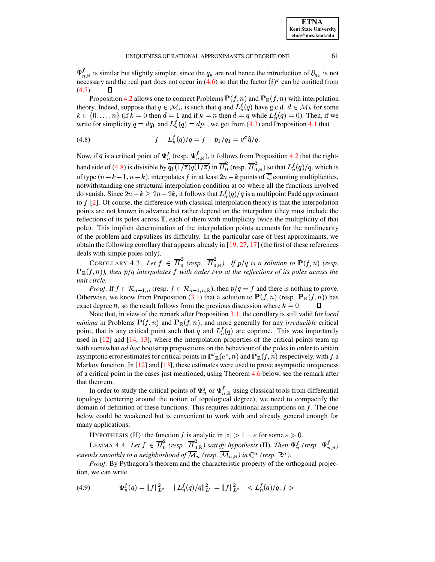$\Psi'_{n,\mathbb{R}}$  is similar but slightly simpler, since the  $q_k$  are real hence the introduction of  $\partial_{q_k}$  is not necessary and the real part does not occur in [\(4.6\)](#page-6-0) so that the factor  $(i)$ <sup> $\varepsilon$ </sup> can be omitted from  $(4.7).$  $(4.7).$ Proposition [4.2](#page-6-2) allows one to connect Problems  $P(f, n)$  and  $P_R(f, n)$  with interpolation

theory. Indeed, suppose that  $q \in \mathcal{M}_n$  is such that q and  $L_n^f(q)$  have g.c.d.  $d \in \mathcal{M}_k$  for some  $k \in \{0, \ldots, n\}$  (if  $k = 0$  then  $d = 1$  and if  $k = n$  then  $d = q$  while  $L_n^f(q) = 0$ ). Then, if we write for simplicity  $q = dq_1$  and  $L_n^f(q) = dp_1$ , we get from [\(4.3\)](#page-5-5) and Proposition [4.1](#page-5-4) that

<span id="page-7-0"></span>(4.8) 
$$
f - L_n^f(q)/q = f - p_1/q_1 = v^{\sigma} \tilde{q}/q.
$$

Now, if q is a critical point of  $\Psi_n^f$  (resp.  $\Psi_{n,\mathbb{R}}^f$ ), it follows from Proposition [4.2](#page-6-2) that the right-hand side of [\(4.8\)](#page-7-0) is divisible by  $\overline{q_1(1/\overline{z})q(1/\overline{z})}$  in  $\overline{H}_0^2$  (resp.  $\overline{H}_{0,\mathbb{R}}^2$ ) so that  $L_n^f(q)/q$ , which is of type  $(n-k-1, n-k)$ , inte ,  $n - k$ ), interpolates f in at least  $2n - k$  points of  $\overline{\mathbb{C}}$  counting multiplicities, notwithstanding one structural interpolation condition at  $\infty$  where all the functions involved do vanish. Since  $2n - k \geq 2n - 2k$ , it follows that  $L_n^f(q)/q$  is a multipoint Padé approximant to  $f$  [\[2\]](#page-11-4). Of course, the difference with classical interpolation theory is that the interpolation points are not known in advance but rather depend on the interpolant (they must include the reflections of its poles across  $T$ , each of them with multiplicity twice the multiplicity of that pole). This implicit determination of the interpolation points accounts for the nonlinearity of the problem and capsulizes its difficulty. In the particular case of best approximants, we obtain the following corollary that appears already in  $[19, 27, 17]$  $[19, 27, 17]$  $[19, 27, 17]$  $[19, 27, 17]$  $[19, 27, 17]$  (the first of these references deals with simple poles only). deals with simple poles only).<br>
COROLLARY 4.3. Let  $f \in \overline{H}_0^2$  (resp.  $\overline{H}_{0,R}^2$ ). If  $p/q$  is a solution to  $\mathbf{P}(f,n)$  (resp.

COROLLARY 4.3. Let  $f \in H_0^{\sim}$  (resp.  $H_{0,\mathbb{R}}^{\sim}$ ). If  $\overline{H}^2_0$  (resp.  $\overline{H}^2_{0,\mathbb{R}}$ ). If  $p/q$  is a s  $\mathbb{R}(f,n)$ , then  $p/q$  interpolates  $f$  with order two at the reflections of its poles across the *unit circle.*

*Proof.* If  $f \in \mathcal{R}_{n-1,n}$  (resp.  $f \in \mathcal{R}_{n-1,n,\mathbb{R}}$ ), then  $p/q = f$  and there is nothing to prove.<br>Otherwise, we know from Proposition [\(3.1\)](#page-3-1) that a solution to  $\mathbf{P}(f,n)$  (resp.  $\mathbf{P}_{\mathbb{R}}(f,n)$ ) has  $(f, n)$  (resp.  $\mathbf{P}_{\mathbb{R}}(f, n)$ ) has exact degree *n*, so the result follows from the previous discussion where  $k = 0$ .  $\Box$ 

Note that, in view of the remark after Proposition [3.1,](#page-3-1) the corollary is still valid for *local* Note that, in view of the remark after Proposition 3.1, the corollary is still valid for *local* minima in Problems  $P(f, n)$  and  $P_R(f, n)$ , and more generally for any *irreducible* critical point, that is any critical point such that q and  $L_n^f(q)$  are coprime. This was importantly used in [\[12\]](#page-12-1) and [\[14,](#page-12-9) [13\]](#page-12-13), where the interpolation properties of the critical points team up with somewhat *ad hoc* bootstrap propositions on the behaviour of the poles in order to obtain with somewhat *ad hoc* bootstrap propositions on the behaviour of the poles in order to obtain<br>asymptotic error estimates for critical points in  $\mathbf{P}'_{\mathbb{R}}(e^z, n)$  and  $\mathbf{P}_{\mathbb{R}}(f, n)$  respectively, with f a Markov function. In  $[12]$  and  $[13]$ , these estimates were used to prove asymptotic uniqueness of a critical point in the cases just mentioned, using Theorem [4.6](#page-8-0) below, see the remark after that theorem.

In order to study the critical points of  $\Psi_n^f$  or  $\Psi_{n,\mathbb{R}}^f$  using classical tools from differential topology (centering around the notion of topological degree), we need to compactify the domain of definition of these functions. This requires additional assumptions on  $f$ . The one below could be weakened but is convenient to work with and already general enough for many applications:

<span id="page-7-1"></span>HYPOTHESIS (H): the function f is analytic in  $|z| > 1 - \varepsilon$  for some  $\varepsilon > 0$ .

LEMMA 4.4. Let  $f \in \overline{H}_0^2$  (resp.  $\overline{H}_{0,\mathbb{R}}^2$ ) satisfy hypothesis  $\frac{d}{dt}$  (resp.  $\overline{H}_{0,\mathbb{R}}^2$ ) satisfy hypothesis (H). Then  $\Psi_n^f$  (resp.  $\Psi_{n,\mathbb{R}}^f$ ) extends smoothly to a neighborhood of  ${\cal M}_n$  (resp.  ${\cal M}_{n,\mathbb{R}}$ ) in  $\mathbb{C}^n$  (resp.  $\mathbb{R}^n$  ).

*Proof*. By Pythagora's theorem and the characteristic property of the orthogonal projection, we can write

<span id="page-7-2"></span>
$$
(4.9) \t\t\t\Psi_n^f(q) = \|f\|_{L^2}^2 - \|L_n^f(q)/q\|_{L^2}^2 = \|f\|_{L^2}^2 - \langle L_n^f(q)/q, f \rangle
$$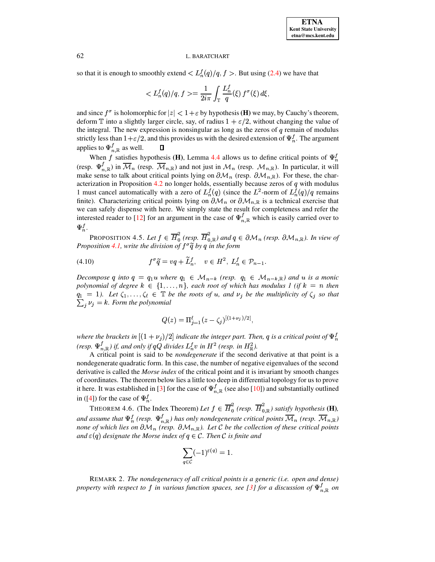so that it is enough to smoothly extend  $\langle L_n^f(q)/q, f \rangle$ . But using [\(2.4\)](#page-2-4) we have that

$$
\langle L_n^f(q)/q, f \rangle = \frac{1}{2i\pi} \int_{\mathbb{T}} \frac{L_n^f}{q}(\xi) f^{\sigma}(\xi) d\xi,
$$

and since  $f^{\sigma}$  is holomorphic for  $|z| < 1 + \varepsilon$  by hypothesis **(H)** we may, by Cauchy's theorem, deform  $\mathbb T$  into a slightly larger circle, say, of radius  $1 + \varepsilon/2$ , without changing the value of the integral. The new expression is nonsingular as long as the zeros of  $q$  remain of modulus strictly less than  $1 + \varepsilon/2$ , and this provides us with the desired extension of  $\Psi_n^f$ . The argument applies to  $\Psi_{n,\mathbb{R}}^f$  as well.  $\Box$ 

When f satisfies hypothesis **(H)**, Lemma [4.4](#page-7-1) allows us to define critical points of  $\Psi_n^f$ (resp.  $\Psi_{n,\mathbb{R}}^{f}$ ) in  $\mathcal{M}_n$  (resp.  $\mathcal{M}_{n,\mathbb{R}}$ ) and not just in  $\mathcal{M}_n$  (resp.  $\mathcal{M}_{n,\mathbb{R}}$ ). In particular, it will make sense to talk about critical points lying on  $\partial \mathcal{M}_n$  (resp.  $\partial \mathcal{M}_{n,\mathbb{R}}$ ). For these, the char-acterization in Proposition [4.2](#page-6-2) no longer holds, essentially because zeros of  $q$  with modulus 1 must cancel automatically with a zero of  $L_n^f(q)$  (since the  $L^2$ -norm of  $L_n^f(q)/q$  remains finite). Characterizing critical points lying on  $\partial {\cal M}_n$  or  $\partial {\cal M}_{n,\mathbb{R}}$  is a technical exercise that we can safely dispense with here. We simply state the result for completeness and refer the interested reader to [\[12\]](#page-12-1) for an argument in the case of  $\Psi^{\dagger}_{n,\mathbb{R}}$  which is easily carried over to  $\Psi_n^f$ .

PROPOSITION 4.5. Let  $f \in H_0^2$  (resp.  $H_{0,\mathbb{R}}^2$ ) and  $\frac{d}{d0}$  (resp.  $\overline{H}_{0,\mathbb{R}}^2$ ) and  $q \in \partial \mathcal{M}_n$  (resp.  $\partial \mathcal{M}_{n,\mathbb{R}}$ ). In view of *Proposition* [4.1,](#page-5-4) write the division of  $f^{\sigma} \widetilde{q}$  by q in the form

$$
(4.10) \t f^{\sigma} \widetilde{q} = vq + \widetilde{L}_n^f, \quad v \in H^2, \ L_n^f \in \mathcal{P}_{n-1}.
$$

*Decompose* q into  $q = q_1 u$  where  $q_1 \in M_{n-k}$  (resp.  $q_1 \in M_{n-k}$ ) and u is a monic *polynomial of degree*  $k \in \{1, \ldots, n\}$ , each root of which has modulus 1 (if  $k = n$  then  $q_1 = 1$ . Let  $\zeta_1, \ldots, \zeta_\ell \in \mathbb{T}$  be the roots of u, and  $\nu_j$  be the multiplicity of  $\zeta_j$  so that  $\sum_i \nu_i = k$ . Form the polynomial

$$
Q(z) = \Pi_{j=1}^{\ell} (z - \zeta_j)^{[(1+\nu_j)/2]},
$$

*where the brackets in*  $[(1 + \nu_j)/2]$  *indicate the integer part. Then, q is a critical point of*  $\Psi_n^f$ *(resp.*  $\Psi_{n,\mathbb{R}}^f$ ) *if,* and only if  $qQ$  divides  $L_n^f v$  in  $H^2$  (resp. in  $H^2_{\mathbb{R}}$ ).

A critical point is said to be *nondegenerate* if the second derivative at that point is a nondegenerate quadratic form. In this case, the number of negative eigenvalues of the second derivative is called the *Morse index* of the critical point and it is invariant by smooth changes of coordinates. The theorem below lies a little too deep in differential topology for us to prove it here. It was established in [\[3\]](#page-11-5) for the case of  $\Psi_{n,\mathbb{R}}^f$  (see also [\[10\]](#page-12-22)) and substantially outlined in ([\[4\]](#page-11-1)) for the case of  $\Psi_n^f$ .

<span id="page-8-0"></span>THEOREM 4.6. (The Index Theorem) Let  $f \in H_0^{\sim}$  (resp.  $H_{0,\mathbb{R}}^{\sim}$ ) sati  $\overline{H}_{0}^{2}$  (resp.  $\overline{H}_{0}^{2}$  *satisfy hypothesis* (**H**)*,* and assume that  $\Psi_n^f$  (resp.  $\Psi_{n,\mathbb{R}}^f$ ) has only nondegenerate critical points  $\mathcal{M}_n$  (resp.  $\mathcal{M}_{n,\mathbb{R}}$ ) *none* of which lies on  $\partial {\cal M}_n$  (resp.  $\partial {\cal M}_{n,\mathbb{R}}$ ). Let C be the collection of these critical points  $\alpha$  *and*  $\varepsilon$ (q) designate the Morse index of  $q \in \mathcal{C}$ . Then  $\mathcal{C}$  is finite and

$$
\sum_{q\in\mathcal{C}}(-1)^{\varepsilon(q)}=1.
$$

REMARK 2. *The nondegeneracy of all critical points is a generic (i.e. open and dense) property* with respect to f in various function spaces, see [\[3\]](#page-11-5) for a discussion of  $\Psi_{n,\mathbb{R}}^{I}$  on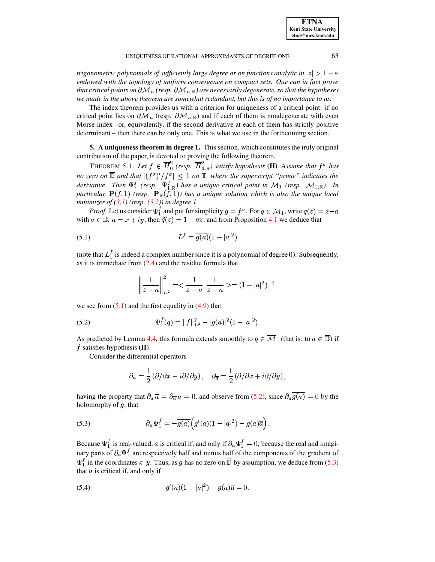| <b>ETNA</b>                  |
|------------------------------|
| <b>Kent State University</b> |
| etna@mcs.kent.edu            |

*trigonometric polynomials of sufficiently large degree or on functions analytic in*  $|z| > 1 - \varepsilon$ 1 <sup>C</sup> *endowed with the topology of uniform convergence on compact sets. One can in fact prove*  $t$  *hat critical points on*  $\partial {\cal M}_n$  *(resp.*  $\partial {\cal M}_{n,\mathbb{R}}$ *) are necessarily degenerate, so that the hypotheses we made in the above theorem are somewhat redundant, but this is of no importance to us.*

The index theorem provides us with a criterion for uniqueness of a critical point: if no critical point lies on  $\partial {\cal M}_n$  (resp.  $\partial {\cal M}_{n,\mathbb{R}}$ ) and if each of them is nondegenerate with even Morse index –or, equivalently, if the second derivative at each of them has strictly positive determinant – then there can be only one. This is what we use in the forthcoming section.

<span id="page-9-0"></span>**5. A uniqueness theorem in degree 1.** This section, which constitutes the truly original contribution of the paper, is devoted to proving the following theorem.

THEOREM 5.1. Let  $f \in H_0^{\sim}$  (resp.  $H_{0,\mathbb{R}}^{\sim}$ ) sat  $\frac{a}{b}$  (resp.  $\overline{H}_{0,R}^2$ ) satisfy hypothesis (**H**). Assume that  $f^{\sigma}$  has *no* zero on  $\mathbb{D}$  and that  $|(f^{\sigma})'/f^{\sigma}| \leq 1$  on  $\mathbb{T}$ , where the superscript "prime" indicates the *derivative. Then*  $\Psi_1^f$  *(resp.*  $\Psi_{1,\mathbb{R}}^f$ *) has a unique critical point in*  $\mathcal{M}_1$  *(resp.*  $\mathcal{M}_{1,\mathbb{R}}$ *). In particular,*  $\mathbf{P}(f,1)$  *(resp.*  $\mathbf{P}_{\mathbb{R}}(f,1)$ *) has a unique solution which is also*  $H(f, 1)$  (resp.  $\mathbf{P}_{\mathbb{R}}(f,1)$ ) has a unique solution which is also the unique local *minimizer of [\(3.1\)](#page-2-3) (resp. [\(3.2\)](#page-3-0)) in degree 1.*

*Proof.* Let us consider  $\Psi_1^T$  and put for simplicity  $g = f^\sigma$ . For  $q \in M_1$ , write  $q(z) = z - a$ with  $a \in \mathbb{D}$ ,  $a = x + iy$ ; then  $\tilde{q}(z) = 1 - \overline{a}z$ , and from Proposition [4.1](#page-5-4) we deduce that

(5.1) 
$$
L_1^f = \overline{g(a)}(1-|a|^2)
$$

(note that  $L_1^f$  is indeed a complex number since it is a polynomial of degree 0). Subsequently, as it is immediate from  $(2.4)$  and the residue formula that

<span id="page-9-1"></span>
$$
\left\|\frac{1}{z-a}\right\|_{L^2}^2 = \frac{1}{z-a}, \frac{1}{z-a} > = (1-|a|^2)^{-1},
$$

we see from  $(5.1)$  and the first equality in  $(4.9)$  that

<span id="page-9-2"></span>(5.2) 
$$
\Psi_1^f(q) = ||f||_{L^2}^2 - |g(a)|^2 (1 - |a|^2).
$$

As predicted by Lemma [4.4,](#page-7-1) this formula extends smoothly to  $q \in M_1$  (that is: to  $a \in \mathbb{D}$ ) if f estisfies hypothesis (**II**).  $f$  satisfies hypothesis  $(H)$ .

Consider the differential operators

$$
\partial_a = \frac{1}{2} (\partial/\partial x - i \partial/\partial y), \quad \partial_{\overline{a}} = \frac{1}{2} (\partial/\partial x + i \partial/\partial y),
$$

having the property that  $\partial_a \overline{a} = \partial_{\overline{a}} a = 0$ , and observe from [\(5.2\)](#page-9-2), since  $\partial_a g(a) = 0$  by the halomorphy of a that holomorphy of  $q$ , that

<span id="page-9-3"></span>(5.3) 
$$
\partial_a \Psi_1^f = -\overline{g(a)} \Big( g'(a)(1-|a|^2) - g(a)\overline{a} \Big).
$$

Because  $\Psi_1^j$  is real-valued, a is critical if, and only if  $\partial_a \Psi_1^j = 0$ , because the real and imaginary parts of  $\partial_a \Psi_1^{\dagger}$  are respectively half and minus half of the components of the gradient of  $\Psi_1^f$  in the coordinates x, y. Thus, as g has no zero on  $\overline{D}$  by assumption, we deduce from [\(5.3\)](#page-9-3) that  $a$  is critical if, and only if

<span id="page-9-4"></span>(5.4) 
$$
g'(a)(1-|a|^2) - g(a)\overline{a} = 0.
$$

<span id="page-9-5"></span>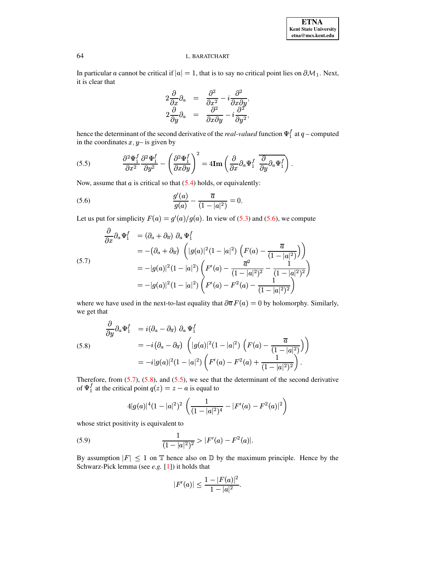In particular a cannot be critical if  $|a| = 1$ , that is to say no critical point lies on  $\partial M_1$ . Next, it is clear that

$$
\begin{array}{rcl}\n2 \frac{\partial}{\partial x} \partial_a &=& \frac{\partial^2}{\partial x^2} - i \frac{\partial^2}{\partial x \partial y}, \\
2 \frac{\partial}{\partial y} \partial_a &=& \frac{\partial^2}{\partial x \partial y} - i \frac{\partial^2}{\partial y^2},\n\end{array}
$$

hence the determinant of the second derivative of the *real-valued* function  $\Psi_1^f$  at  $q$  – computed in the coordinates  $x, y$  is given by

<span id="page-10-3"></span>(5.5) 
$$
\frac{\partial^2 \Psi_1^f}{\partial x^2} \frac{\partial^2 \Psi_1^f}{\partial y^2} - \left(\frac{\partial^2 \Psi_1^f}{\partial x \partial y}\right)^2 = 4\mathbf{Im}\left(\frac{\partial}{\partial x}\partial_a\Psi_1^f\right) \frac{\partial}{\partial y}\partial_a\Psi_1^f\right).
$$

Now, assume that  $a$  is critical so that  $(5.4)$  holds, or equivalently:

<span id="page-10-0"></span>(5.6) 
$$
\frac{g'(a)}{g(a)} - \frac{\overline{a}}{(1-|a|^2)} = 0.
$$

Let us put for simplicity  $F(a) = g'(a)/g(a)$ . In view of (5.3) and (5.6), we compute

<span id="page-10-1"></span>
$$
\frac{\partial}{\partial x}\partial_a\Psi_1^f = (\partial_a + \partial_{\overline{a}}) \partial_a\Psi_1^f
$$
  
\n
$$
= -(\partial_a + \partial_{\overline{a}}) \left( |g(a)|^2 (1 - |a|^2) \left( F(a) - \frac{\overline{a}}{(1 - |a|^2)} \right) \right)
$$
  
\n(5.7)  
\n
$$
= -|g(a)|^2 (1 - |a|^2) \left( F'(a) - \frac{\overline{a}^2}{(1 - |a|^2)^2} - \frac{1}{(1 - |a|^2)^2} \right)
$$
  
\n
$$
= -|g(a)|^2 (1 - |a|^2) \left( F'(a) - F^2(a) - \frac{1}{(1 - |a|^2)^2} \right)
$$

where we have used in the next-to-last equality that  $\partial \overline{\alpha} F(a) = 0$  by holomorphy. Similarly, we get that

<span id="page-10-2"></span>(5.8)  
\n
$$
\frac{\partial}{\partial y} \partial_a \Psi_1^f = i(\partial_a - \partial_{\overline{a}}) \partial_a \Psi_1^f
$$
\n
$$
= -i(\partial_a - \partial_{\overline{a}}) \left( |g(a)|^2 (1 - |a|^2) \left( F(a) - \frac{\overline{a}}{(1 - |a|^2)} \right) \right)
$$
\n
$$
= -i|g(a)|^2 (1 - |a|^2) \left( F'(a) - F^2(a) + \frac{1}{(1 - |a|^2)^2} \right).
$$

Therefore, from (5.7), (5.8), and (5.5), we see that the determinant of the second derivative of  $\Psi_1^f$  at the critical point  $q(z) = z - a$  is equal to

$$
4|g(a)|^4(1-|a|^2)^2\left(\frac{1}{(1-|a|^2)^4}-|F'(a)-F^2(a)|^2\right)
$$

whose strict positivity is equivalent to

<span id="page-10-4"></span>(5.9) 
$$
\frac{1}{(1-|a|^2)^2} > |F'(a) - F^2(a)|.
$$

By assumption  $|F| \leq 1$  on T hence also on D by the maximum principle. Hence by the Schwarz-Pick lemma (see  $e.g.$  [1]) it holds that

$$
|F'(a)| \le \frac{1 - |F(a)|^2}{1 - |a|^2}.
$$

64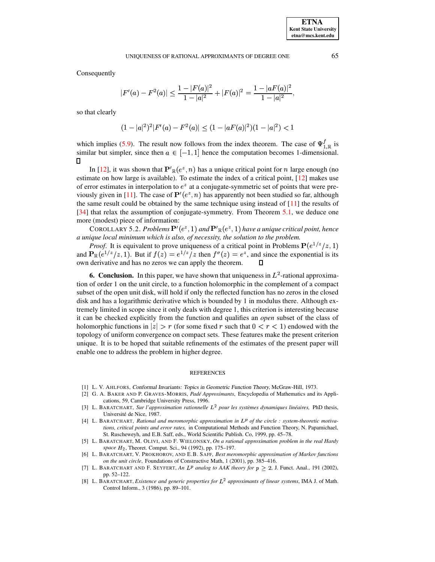Consequently

$$
|F'(a) - F^{2}(a)| \le \frac{1 - |F(a)|^2}{1 - |a|^2} + |F(a)|^2 = \frac{1 - |aF(a)|^2}{1 - |a|^2},
$$

so that clearly

 $(1-|a|^2)^2|F'(a)-F^2(a)|\leq (1-|aF(a)|^2)(1-|a|^2)<1$ 

which implies [\(5.9\)](#page-10-4). The result now follows from the index theorem. The case of  $\Psi_{1}^{\dagger}{}_{\mathbb{R}}$  is similar but simpler, since then  $a \in [-1, 1]$  hence then ^ ì hence the computation becomes 1-dimensional. In [\[12\]](#page-12-1), it was shown that  $\mathbf{P}'_{\mathbb{R}}(e^z, n)$  has a unique critical point for *n* large enough (no  $\Box$ 

estimate on how large is available). To estimate the index of a critical point, [\[12\]](#page-12-1) makes use of error estimates in interpolation to  $e^z$  at a conjugate-symmetric set of points that were pre-violation in Eq. is a constant to the contract of the contract of points that were pre-<br>viously given in [\[11\]](#page-12-24). The case of  $\mathbf{P}'(e^z, n)$  has apparently not been studied so far, although the same result could be obtained by the same technique using instead of  $[11]$  the results of [\[34\]](#page-12-25) that relax the assumption of conjugate-symmetry. From Theorem [5.1,](#page-9-5) we deduce one more (modest) piece of information: Extending the conduction of information:<br>
COROLLARY 5.2. *Problems*  $\mathbf{P}'(e^z, 1)$  *and*  $\mathbf{P}'_{\mathbb{R}}(e^z, 1)$  *have a unique critical point, hence* 

*a unique local minimum which is also, of necessity, the solution to the problem. Proof.* It is equivalent to prove uniqueness of a critical point in Problems  $P(e^{1/z}/z, 1)$ <br>*Proof.* It is equivalent to prove uniqueness of a critical point in Problems  $P(e^{1/z}/z, 1)$ 

**EVALUATE:** The state is the single state of a critical point in Problems  $P(e^{1/z}/z, 1)$ <br>and  $P_{\mathbb{R}}(e^{1/z}/z, 1)$ . But if  $f(z) = e^{1/z}/z$  then  $f^{\sigma}(z) = e^z$ , and since the exponential is its own derivative and has no zeros we can apply the theorem. Л

**6. Conclusion.** In this paper, we have shown that uniqueness in  $L^2$ -rational approximation of order 1 on the unit circle, to a function holomorphic in the complement of a compact subset of the open unit disk, will hold if only the reflected function has no zeros in the closed disk and has a logarithmic derivative which is bounded by 1 in modulus there. Although extremely limited in scope since it only deals with degree 1, this criterion is interesting because it can be checked explicitly from the function and qualifies an *open* subset of the class of holomorphic functions in  $|z| > r$  (for some fixed r such that  $0 < r < 1$ ) endowed with the topology of uniform convergence on compact sets. These features make the present criterion unique. It is to be hoped that suitable refinements of the estimates of the present paper will enable one to address the problem in higher degree.

#### REFERENCES

- <span id="page-11-6"></span><span id="page-11-4"></span>[1] L. V. AHLFORS, Conformal Invariants: Topics in Geometric Function Theory, McGraw-Hill, 1973.
- [2] G. A. BAKER AND P. GRAVES-MORRIS, *Pade´ Approximants*, Encyclopedia of Mathematics and its Applications, 59, Cambridge University Press, 1996.
- <span id="page-11-5"></span>[3] L. BARATCHART, *Sur l'approximation rationnelle* - *pour les systemes ` dynamiques lineair ´ es,* PhD thesis, Université de Nice, 1987.
- <span id="page-11-1"></span>[4] L. BARATCHART, Rational and meromorphic approximation in L<sup>p</sup> of the circle : system-theoretic motiva*tions, critical points and error rates,* in Computational Methods and Function Theory, N. Papamichael, St. Ruscheweyh, and E.B. Saff, eds., World Scientific Publish. Co, 1999, pp. 45–78.
- [5] L. BARATCHART, M. OLIVI, AND F. WIELONSKY, *On a rational approximation problem in the real Hardy* space  $H_2$ , Theoret. Comput. Sci., 94 (1992), pp. 175–197.
- <span id="page-11-0"></span> [6] L. BARATCHART, V. PROKHOROV, AND E.B. SAFF, *Best meromorphic approximation of Markov functions on the unit circle*, Foundations of Constructive Math, 1 (2001), pp. 385–416.
- <span id="page-11-3"></span>[7] L. BARATCHART AND F. SEYFERT, An  $L^p$  analog to AAK theory for  $p \geq 2$ , J. Funct. Anal., 191 (2002), pp. 52–122.
- <span id="page-11-2"></span>[8] L. BARATCHART, *Existence and generic properties for* - *approximants of linear systems*, IMA J. of Math. Control Inform., 3 (1986), pp. 89–101.